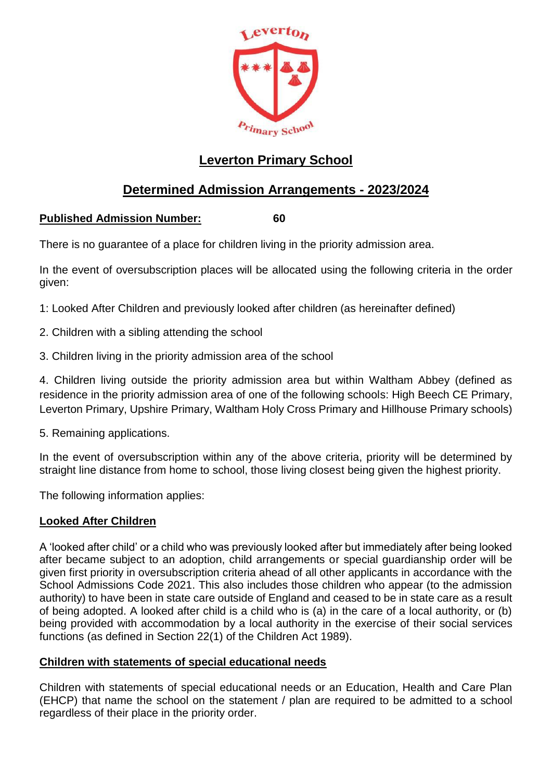

# **Leverton Primary School**

# **Determined Admission Arrangements - 2023/2024**

# **Published Admission Number: 60**

There is no guarantee of a place for children living in the priority admission area.

In the event of oversubscription places will be allocated using the following criteria in the order given:

1: Looked After Children and previously looked after children (as hereinafter defined)

- 2. Children with a sibling attending the school
- 3. Children living in the priority admission area of the school

4. Children living outside the priority admission area but within Waltham Abbey (defined as residence in the priority admission area of one of the following schools: High Beech CE Primary, Leverton Primary, Upshire Primary, Waltham Holy Cross Primary and Hillhouse Primary schools)

5. Remaining applications.

In the event of oversubscription within any of the above criteria, priority will be determined by straight line distance from home to school, those living closest being given the highest priority.

The following information applies:

# **Looked After Children**

A 'looked after child' or a child who was previously looked after but immediately after being looked after became subject to an adoption, child arrangements or special guardianship order will be given first priority in oversubscription criteria ahead of all other applicants in accordance with the School Admissions Code 2021. This also includes those children who appear (to the admission authority) to have been in state care outside of England and ceased to be in state care as a result of being adopted. A looked after child is a child who is (a) in the care of a local authority, or (b) being provided with accommodation by a local authority in the exercise of their social services functions (as defined in Section 22(1) of the Children Act 1989).

# **Children with statements of special educational needs**

Children with statements of special educational needs or an Education, Health and Care Plan (EHCP) that name the school on the statement / plan are required to be admitted to a school regardless of their place in the priority order.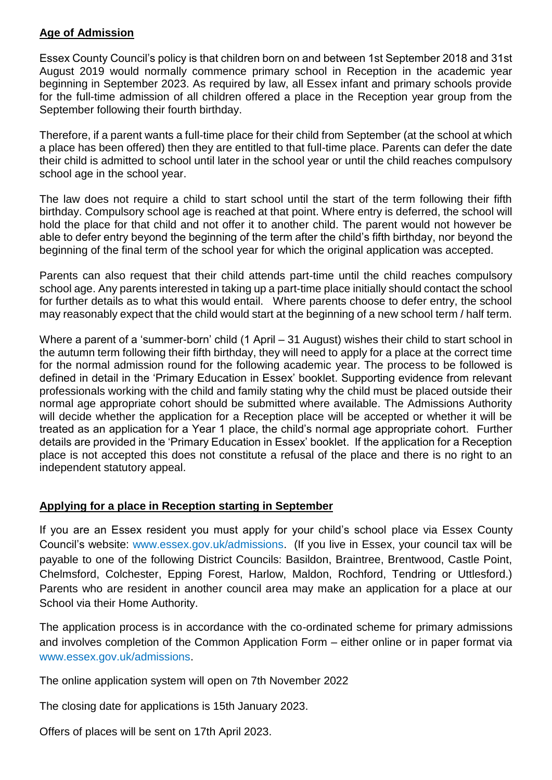# **Age of Admission**

Essex County Council's policy is that children born on and between 1st September 2018 and 31st August 2019 would normally commence primary school in Reception in the academic year beginning in September 2023. As required by law, all Essex infant and primary schools provide for the full-time admission of all children offered a place in the Reception year group from the September following their fourth birthday.

Therefore, if a parent wants a full-time place for their child from September (at the school at which a place has been offered) then they are entitled to that full-time place. Parents can defer the date their child is admitted to school until later in the school year or until the child reaches compulsory school age in the school year.

The law does not require a child to start school until the start of the term following their fifth birthday. Compulsory school age is reached at that point. Where entry is deferred, the school will hold the place for that child and not offer it to another child. The parent would not however be able to defer entry beyond the beginning of the term after the child's fifth birthday, nor beyond the beginning of the final term of the school year for which the original application was accepted.

Parents can also request that their child attends part-time until the child reaches compulsory school age. Any parents interested in taking up a part-time place initially should contact the school for further details as to what this would entail. Where parents choose to defer entry, the school may reasonably expect that the child would start at the beginning of a new school term / half term.

Where a parent of a 'summer-born' child (1 April – 31 August) wishes their child to start school in the autumn term following their fifth birthday, they will need to apply for a place at the correct time for the normal admission round for the following academic year. The process to be followed is defined in detail in the 'Primary Education in Essex' booklet. Supporting evidence from relevant professionals working with the child and family stating why the child must be placed outside their normal age appropriate cohort should be submitted where available. The Admissions Authority will decide whether the application for a Reception place will be accepted or whether it will be treated as an application for a Year 1 place, the child's normal age appropriate cohort. Further details are provided in the 'Primary Education in Essex' booklet. If the application for a Reception place is not accepted this does not constitute a refusal of the place and there is no right to an independent statutory appeal.

# **Applying for a place in Reception starting in September**

If you are an Essex resident you must apply for your child's school place via Essex County Council's website: [www.essex.gov.uk/admissions.](http://www.essex.gov.uk/admissions) (If you live in Essex, your council tax will be payable to one of the following District Councils: Basildon, Braintree, Brentwood, Castle Point, Chelmsford, Colchester, Epping Forest, Harlow, Maldon, Rochford, Tendring or Uttlesford.) Parents who are resident in another council area may make an application for a place at our School via their Home Authority.

The application process is in accordance with the co-ordinated scheme for primary admissions and involves completion of the Common Application Form – either online or in paper format via www.essex.gov.uk/admissions.

The online application system will open on 7th November 2022

The closing date for applications is 15th January 2023.

Offers of places will be sent on 17th April 2023.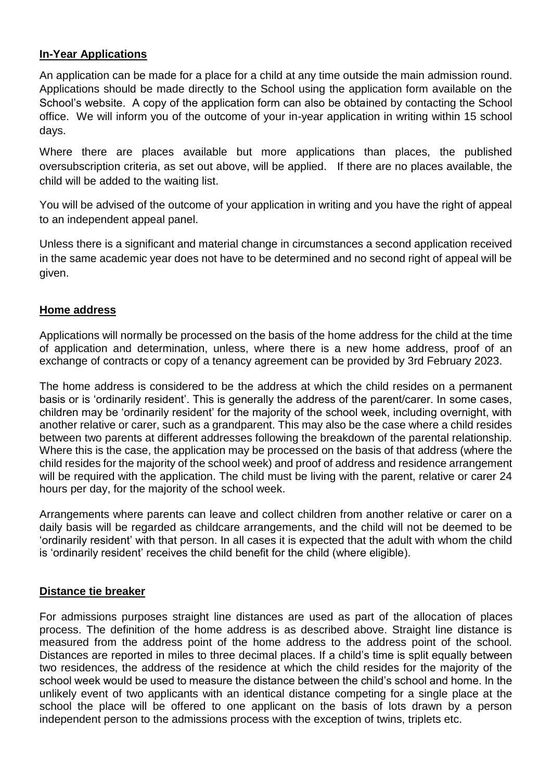# **In-Year Applications**

An application can be made for a place for a child at any time outside the main admission round. Applications should be made directly to the School using the application form available on the School's website. A copy of the application form can also be obtained by contacting the School office. We will inform you of the outcome of your in-year application in writing within 15 school days.

Where there are places available but more applications than places, the published oversubscription criteria, as set out above, will be applied. If there are no places available, the child will be added to the waiting list.

You will be advised of the outcome of your application in writing and you have the right of appeal to an independent appeal panel.

Unless there is a significant and material change in circumstances a second application received in the same academic year does not have to be determined and no second right of appeal will be given.

#### **Home address**

Applications will normally be processed on the basis of the home address for the child at the time of application and determination, unless, where there is a new home address, proof of an exchange of contracts or copy of a tenancy agreement can be provided by 3rd February 2023.

The home address is considered to be the address at which the child resides on a permanent basis or is 'ordinarily resident'. This is generally the address of the parent/carer. In some cases, children may be 'ordinarily resident' for the majority of the school week, including overnight, with another relative or carer, such as a grandparent. This may also be the case where a child resides between two parents at different addresses following the breakdown of the parental relationship. Where this is the case, the application may be processed on the basis of that address (where the child resides for the majority of the school week) and proof of address and residence arrangement will be required with the application. The child must be living with the parent, relative or carer 24 hours per day, for the majority of the school week.

Arrangements where parents can leave and collect children from another relative or carer on a daily basis will be regarded as childcare arrangements, and the child will not be deemed to be 'ordinarily resident' with that person. In all cases it is expected that the adult with whom the child is 'ordinarily resident' receives the child benefit for the child (where eligible).

#### **Distance tie breaker**

For admissions purposes straight line distances are used as part of the allocation of places process. The definition of the home address is as described above. Straight line distance is measured from the address point of the home address to the address point of the school. Distances are reported in miles to three decimal places. If a child's time is split equally between two residences, the address of the residence at which the child resides for the majority of the school week would be used to measure the distance between the child's school and home. In the unlikely event of two applicants with an identical distance competing for a single place at the school the place will be offered to one applicant on the basis of lots drawn by a person independent person to the admissions process with the exception of twins, triplets etc.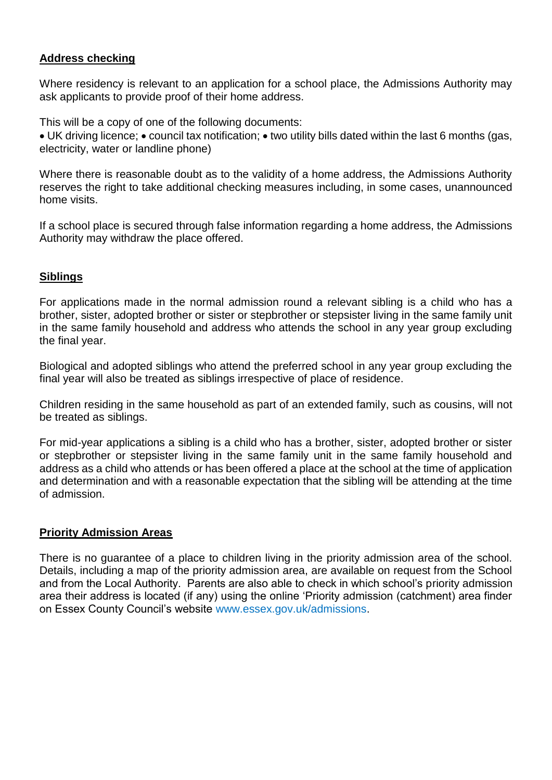### **Address checking**

Where residency is relevant to an application for a school place, the Admissions Authority may ask applicants to provide proof of their home address.

This will be a copy of one of the following documents:

• UK driving licence; • council tax notification; • two utility bills dated within the last 6 months (gas, electricity, water or landline phone)

Where there is reasonable doubt as to the validity of a home address, the Admissions Authority reserves the right to take additional checking measures including, in some cases, unannounced home visits.

If a school place is secured through false information regarding a home address, the Admissions Authority may withdraw the place offered.

#### **Siblings**

For applications made in the normal admission round a relevant sibling is a child who has a brother, sister, adopted brother or sister or stepbrother or stepsister living in the same family unit in the same family household and address who attends the school in any year group excluding the final year.

Biological and adopted siblings who attend the preferred school in any year group excluding the final year will also be treated as siblings irrespective of place of residence.

Children residing in the same household as part of an extended family, such as cousins, will not be treated as siblings.

For mid-year applications a sibling is a child who has a brother, sister, adopted brother or sister or stepbrother or stepsister living in the same family unit in the same family household and address as a child who attends or has been offered a place at the school at the time of application and determination and with a reasonable expectation that the sibling will be attending at the time of admission.

#### **Priority Admission Areas**

There is no guarantee of a place to children living in the priority admission area of the school. Details, including a map of the priority admission area, are available on request from the School and from the Local Authority. Parents are also able to check in which school's priority admission area their address is located (if any) using the online 'Priority admission (catchment) area finder on Essex County Council's website www.essex.gov.uk/admissions.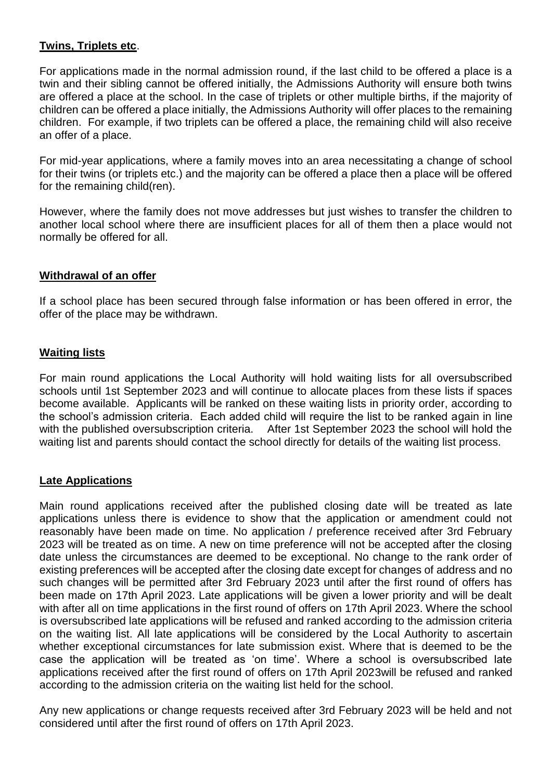## **Twins, Triplets etc**.

For applications made in the normal admission round, if the last child to be offered a place is a twin and their sibling cannot be offered initially, the Admissions Authority will ensure both twins are offered a place at the school. In the case of triplets or other multiple births, if the majority of children can be offered a place initially, the Admissions Authority will offer places to the remaining children. For example, if two triplets can be offered a place, the remaining child will also receive an offer of a place.

For mid-year applications, where a family moves into an area necessitating a change of school for their twins (or triplets etc.) and the majority can be offered a place then a place will be offered for the remaining child(ren).

However, where the family does not move addresses but just wishes to transfer the children to another local school where there are insufficient places for all of them then a place would not normally be offered for all.

#### **Withdrawal of an offer**

If a school place has been secured through false information or has been offered in error, the offer of the place may be withdrawn.

### **Waiting lists**

For main round applications the Local Authority will hold waiting lists for all oversubscribed schools until 1st September 2023 and will continue to allocate places from these lists if spaces become available. Applicants will be ranked on these waiting lists in priority order, according to the school's admission criteria. Each added child will require the list to be ranked again in line with the published oversubscription criteria. After 1st September 2023 the school will hold the waiting list and parents should contact the school directly for details of the waiting list process.

#### **Late Applications**

Main round applications received after the published closing date will be treated as late applications unless there is evidence to show that the application or amendment could not reasonably have been made on time. No application / preference received after 3rd February 2023 will be treated as on time. A new on time preference will not be accepted after the closing date unless the circumstances are deemed to be exceptional. No change to the rank order of existing preferences will be accepted after the closing date except for changes of address and no such changes will be permitted after 3rd February 2023 until after the first round of offers has been made on 17th April 2023. Late applications will be given a lower priority and will be dealt with after all on time applications in the first round of offers on 17th April 2023. Where the school is oversubscribed late applications will be refused and ranked according to the admission criteria on the waiting list. All late applications will be considered by the Local Authority to ascertain whether exceptional circumstances for late submission exist. Where that is deemed to be the case the application will be treated as 'on time'. Where a school is oversubscribed late applications received after the first round of offers on 17th April 2023will be refused and ranked according to the admission criteria on the waiting list held for the school.

Any new applications or change requests received after 3rd February 2023 will be held and not considered until after the first round of offers on 17th April 2023.